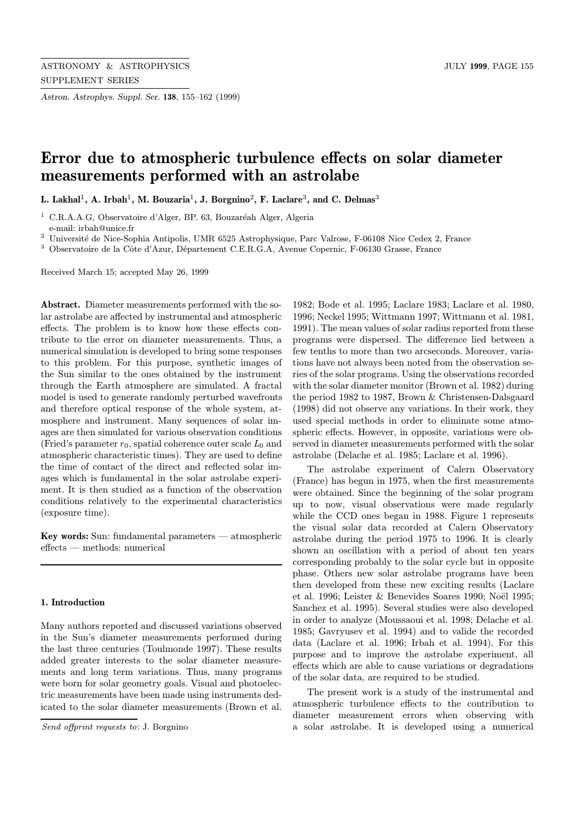Astron. Astrophys. Suppl. Ser. 138, 155–162 (1999)

# Error due to atmospheric turbulence effects on solar diameter measurements performed with an astrolabe

L. Lakhal<sup>1</sup>, A. Irbah<sup>1</sup>, M. Bouzaria<sup>1</sup>, J. Borgnino<sup>2</sup>, F. Laclare<sup>3</sup>, and C. Delmas<sup>3</sup>

 $1$  C.R.A.A.G, Observatoire d'Alger, BP. 63, Bouzaréah Alger, Algeria e-mail: irbah@unice.fr

 $^2\,$ Université de Nice-Sophia Antipolis, UMR 6525 Astrophysique, Parc Valrose, F-06108 Nice Cedex 2, France

<sup>3</sup> Observatoire de la Côte d'Azur, Département C.E.R.G.A, Avenue Copernic, F-06130 Grasse, France

Received March 15; accepted May 26, 1999

Abstract. Diameter measurements performed with the solar astrolabe are affected by instrumental and atmospheric effects. The problem is to know how these effects contribute to the error on diameter measurements. Thus, a numerical simulation is developed to bring some responses to this problem. For this purpose, synthetic images of the Sun similar to the ones obtained by the instrument through the Earth atmosphere are simulated. A fractal model is used to generate randomly perturbed wavefronts and therefore optical response of the whole system, atmosphere and instrument. Many sequences of solar images are then simulated for various observation conditions (Fried's parameter  $r_0$ , spatial coherence outer scale  $L_0$  and atmospheric characteristic times). They are used to define the time of contact of the direct and reflected solar images which is fundamental in the solar astrolabe experiment. It is then studied as a function of the observation conditions relatively to the experimental characteristics (exposure time).

Key words: Sun: fundamental parameters — atmospheric effects — methods: numerical

#### 1. Introduction

Many authors reported and discussed variations observed in the Sun's diameter measurements performed during the last three centuries (Toulmonde 1997). These results added greater interests to the solar diameter measurements and long term variations. Thus, many programs were born for solar geometry goals. Visual and photoelectric measurements have been made using instruments dedicated to the solar diameter measurements (Brown et al.

1982; Bode et al. 1995; Laclare 1983; Laclare et al. 1980, 1996; Neckel 1995; Wittmann 1997; Wittmann et al. 1981, 1991). The mean values of solar radius reported from these programs were dispersed. The difference lied between a few tenths to more than two arcseconds. Moreover, variations have not always been noted from the observation series of the solar programs. Using the observations recorded with the solar diameter monitor (Brown et al. 1982) during the period 1982 to 1987, Brown & Christensen-Dalsgaard (1998) did not observe any variations. In their work, they used special methods in order to eliminate some atmospheric effects. However, in opposite, variations were observed in diameter measurements performed with the solar astrolabe (Delache et al. 1985; Laclare et al. 1996).

The astrolabe experiment of Calern Observatory (France) has begun in 1975, when the first measurements were obtained. Since the beginning of the solar program up to now, visual observations were made regularly while the CCD ones began in 1988. Figure 1 represents the visual solar data recorded at Calern Observatory astrolabe during the period 1975 to 1996. It is clearly shown an oscillation with a period of about ten years corresponding probably to the solar cycle but in opposite phase. Others new solar astrolabe programs have been then developed from these new exciting results (Laclare et al. 1996; Leister & Benevides Soares 1990; Noël 1995; Sanchez et al. 1995). Several studies were also developed in order to analyze (Moussaoui et al. 1998; Delache et al. 1985; Gavryusev et al. 1994) and to valide the recorded data (Laclare et al. 1996; Irbah et al. 1994). For this purpose and to improve the astrolabe experiment, all effects which are able to cause variations or degradations of the solar data, are required to be studied.

The present work is a study of the instrumental and atmospheric turbulence effects to the contribution to diameter measurement errors when observing with a solar astrolabe. It is developed using a numerical

Send offprint requests to: J. Borgnino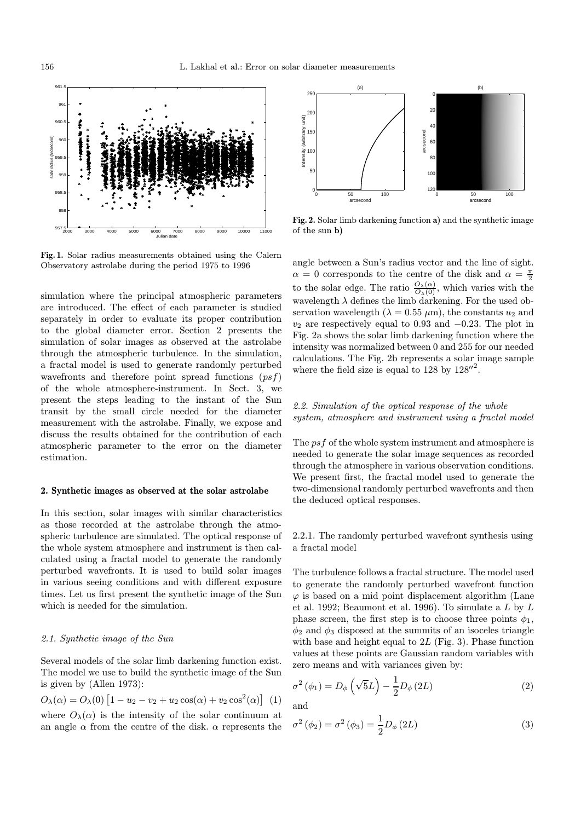

Fig. 1. Solar radius measurements obtained using the Calern Observatory astrolabe during the period 1975 to 1996

simulation where the principal atmospheric parameters are introduced. The effect of each parameter is studied separately in order to evaluate its proper contribution to the global diameter error. Section 2 presents the simulation of solar images as observed at the astrolabe through the atmospheric turbulence. In the simulation, a fractal model is used to generate randomly perturbed wavefronts and therefore point spread functions  $(psf)$ of the whole atmosphere-instrument. In Sect. 3, we present the steps leading to the instant of the Sun transit by the small circle needed for the diameter measurement with the astrolabe. Finally, we expose and discuss the results obtained for the contribution of each atmospheric parameter to the error on the diameter estimation.

#### 2. Synthetic images as observed at the solar astrolabe

In this section, solar images with similar characteristics as those recorded at the astrolabe through the atmospheric turbulence are simulated. The optical response of the whole system atmosphere and instrument is then calculated using a fractal model to generate the randomly perturbed wavefronts. It is used to build solar images in various seeing conditions and with different exposure times. Let us first present the synthetic image of the Sun which is needed for the simulation.

## 2.1. Synthetic image of the Sun

Several models of the solar limb darkening function exist. The model we use to build the synthetic image of the Sun is given by (Allen 1973):

$$
O_{\lambda}(\alpha) = O_{\lambda}(0) \left[ 1 - u_2 - v_2 + u_2 \cos(\alpha) + v_2 \cos^2(\alpha) \right] (1)
$$
  
where  $O_{\lambda}(\alpha)$  is the intensity of the solar continuum at  
an angle  $\alpha$  from the centre of the disk.  $\alpha$  represents the



Fig. 2. Solar limb darkening function a) and the synthetic image of the sun b)

angle between a Sun's radius vector and the line of sight.  $\alpha = 0$  corresponds to the centre of the disk and  $\alpha = \frac{\pi}{2}$ to the solar edge. The ratio  $\frac{O_{\lambda}(\alpha)}{O_{\lambda}(0)}$ , which varies with the wavelength  $\lambda$  defines the limb darkening. For the used observation wavelength ( $\lambda = 0.55 \ \mu \text{m}$ ), the constants  $u_2$  and  $v_2$  are respectively equal to 0.93 and  $-0.23$ . The plot in Fig. 2a shows the solar limb darkening function where the intensity was normalized between 0 and 255 for our needed calculations. The Fig. 2b represents a solar image sample where the field size is equal to 128 by  $128''^2$ .

# 2.2. Simulation of the optical response of the whole system, atmosphere and instrument using a fractal model

The psf of the whole system instrument and atmosphere is needed to generate the solar image sequences as recorded through the atmosphere in various observation conditions. We present first, the fractal model used to generate the two-dimensional randomly perturbed wavefronts and then the deduced optical responses.

2.2.1. The randomly perturbed wavefront synthesis using a fractal model

The turbulence follows a fractal structure. The model used to generate the randomly perturbed wavefront function  $\varphi$  is based on a mid point displacement algorithm (Lane et al. 1992; Beaumont et al. 1996). To simulate a L by L phase screen, the first step is to choose three points  $\phi_1$ ,  $\phi_2$  and  $\phi_3$  disposed at the summits of an isoceles triangle with base and height equal to  $2L$  (Fig. 3). Phase function values at these points are Gaussian random variables with zero means and with variances given by:

$$
\sigma^{2}(\phi_{1}) = D_{\phi}\left(\sqrt{5}L\right) - \frac{1}{2}D_{\phi}\left(2L\right) \tag{2}
$$

and

$$
\sigma^{2}(\phi_{2}) = \sigma^{2}(\phi_{3}) = \frac{1}{2}D_{\phi}(2L)
$$
\n(3)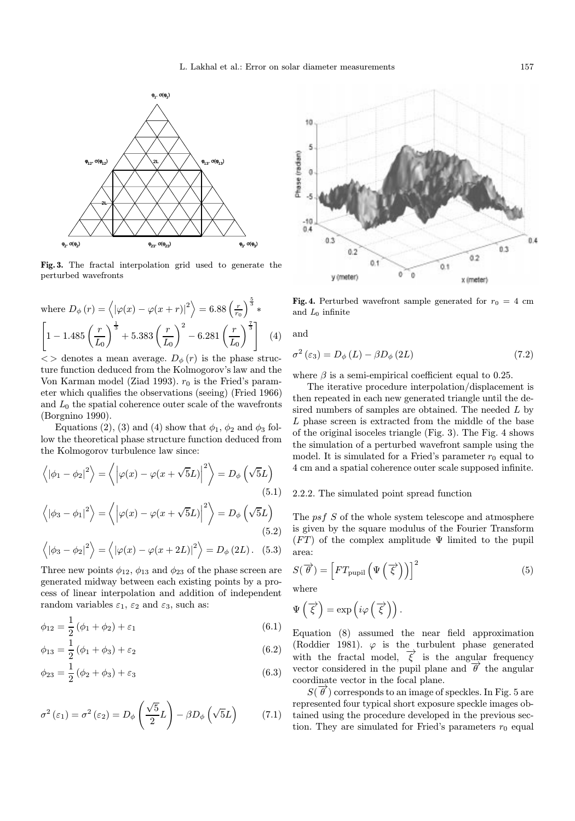

Fig. 3. The fractal interpolation grid used to generate the perturbed wavefronts

where 
$$
D_{\phi}(r) = \langle |\varphi(x) - \varphi(x+r)|^2 \rangle = 6.88 \left(\frac{r}{r_0}\right)^{\frac{5}{3}} *
$$
  
\n
$$
\left[1 - 1.485 \left(\frac{r}{L_0}\right)^{\frac{1}{3}} + 5.383 \left(\frac{r}{L_0}\right)^2 - 6.281 \left(\frac{r}{L_0}\right)^{\frac{7}{3}}\right]
$$
(4)

 $\langle \rangle$  denotes a mean average.  $D_{\phi}(r)$  is the phase structure function deduced from the Kolmogorov's law and the Von Karman model (Ziad 1993).  $r_0$  is the Fried's parameter which qualifies the observations (seeing) (Fried 1966) and  $L_0$  the spatial coherence outer scale of the wavefronts (Borgnino 1990).

Equations (2), (3) and (4) show that  $\phi_1$ ,  $\phi_2$  and  $\phi_3$  follow the theoretical phase structure function deduced from the Kolmogorov turbulence law since:

$$
\langle |\phi_1 - \phi_2|^2 \rangle = \langle |\varphi(x) - \varphi(x + \sqrt{5}L)|^2 \rangle = D_{\phi} (\sqrt{5}L)
$$
\n
$$
\langle |\phi_3 - \phi_1|^2 \rangle = \langle |\varphi(x) - \varphi(x + \sqrt{5}L)|^2 \rangle = D_{\phi} (\sqrt{5}L)
$$
\n(5.2)

$$
\langle |\phi_3 - \phi_2|^2 \rangle = \langle |\varphi(x) - \varphi(x + 2L)|^2 \rangle = D_{\phi}(2L). \quad (5.3)
$$

Three new points  $\phi_{12}$ ,  $\phi_{13}$  and  $\phi_{23}$  of the phase screen are generated midway between each existing points by a process of linear interpolation and addition of independent random variables  $\varepsilon_1$ ,  $\varepsilon_2$  and  $\varepsilon_3$ , such as:

$$
\phi_{12} = \frac{1}{2} \left( \phi_1 + \phi_2 \right) + \varepsilon_1 \tag{6.1}
$$

$$
\phi_{13} = \frac{1}{2} (\phi_1 + \phi_3) + \varepsilon_2 \tag{6.2}
$$

$$
\phi_{23} = \frac{1}{2} (\phi_2 + \phi_3) + \varepsilon_3 \tag{6.3}
$$

$$
\sigma^{2}(\varepsilon_{1}) = \sigma^{2}(\varepsilon_{2}) = D_{\phi}\left(\frac{\sqrt{5}}{2}L\right) - \beta D_{\phi}\left(\sqrt{5}L\right) \tag{7.1}
$$



Fig. 4. Perturbed wavefront sample generated for  $r_0 = 4$  cm and  $L_0$  infinite

and

$$
\sigma^{2}\left(\varepsilon_{3}\right) = D_{\phi}\left(L\right) - \beta D_{\phi}\left(2L\right) \tag{7.2}
$$

where  $\beta$  is a semi-empirical coefficient equal to 0.25.

The iterative procedure interpolation/displacement is then repeated in each new generated triangle until the desired numbers of samples are obtained. The needed L by L phase screen is extracted from the middle of the base of the original isoceles triangle (Fig. 3). The Fig. 4 shows the simulation of a perturbed wavefront sample using the model. It is simulated for a Fried's parameter  $r_0$  equal to 4 cm and a spatial coherence outer scale supposed infinite.

## 2.2.2. The simulated point spread function

The psf S of the whole system telescope and atmosphere is given by the square modulus of the Fourier Transform  $(FT)$  of the complex amplitude  $\Psi$  limited to the pupil area:

$$
S(\vec{\theta}) = \left[ FT_{\text{pupil}} \left( \Psi \left( \vec{\xi} \right) \right) \right]^2 \tag{5}
$$

where

$$
\Psi\left(\overrightarrow{\xi}\right) = \exp\left(i\varphi\left(\overrightarrow{\xi}\right)\right).
$$

Equation (8) assumed the near field approximation (Roddier 1981).  $\varphi$  is the turbulent phase generated with the fractal model,  $\overrightarrow{\xi}$  is the angular frequency vector considered in the pupil plane and  $\vec{\theta}$  the angular coordinate vector in the focal plane.

 $S(\vec{\theta})$  corresponds to an image of speckles. In Fig. 5 are represented four typical short exposure speckle images obtained using the procedure developed in the previous section. They are simulated for Fried's parameters  $r_0$  equal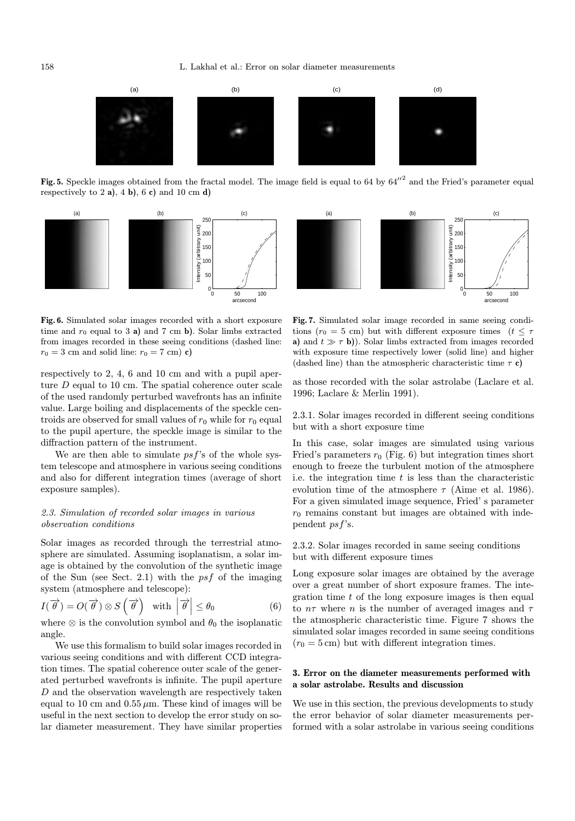158 L. Lakhal et al.: Error on solar diameter measurements



Fig. 5. Speckle images obtained from the fractal model. The image field is equal to 64 by  $64''^2$  and the Fried's parameter equal respectively to 2 a), 4 b), 6 c) and 10 cm d)



Fig. 6. Simulated solar images recorded with a short exposure time and  $r_0$  equal to 3 a) and 7 cm b). Solar limbs extracted from images recorded in these seeing conditions (dashed line:  $r_0 = 3$  cm and solid line:  $r_0 = 7$  cm) c)

respectively to 2, 4, 6 and 10 cm and with a pupil aperture D equal to 10 cm. The spatial coherence outer scale of the used randomly perturbed wavefronts has an infinite value. Large boiling and displacements of the speckle centroids are observed for small values of  $r_0$  while for  $r_0$  equal to the pupil aperture, the speckle image is similar to the diffraction pattern of the instrument.

We are then able to simulate  $psf$ 's of the whole system telescope and atmosphere in various seeing conditions and also for different integration times (average of short exposure samples).

## 2.3. Simulation of recorded solar images in various observation conditions

Solar images as recorded through the terrestrial atmosphere are simulated. Assuming isoplanatism, a solar image is obtained by the convolution of the synthetic image of the Sun (see Sect. 2.1) with the  $psf$  of the imaging system (atmosphere and telescope):

$$
I(\overrightarrow{\theta}) = O(\overrightarrow{\theta}) \otimes S\left(\overrightarrow{\theta}\right) \quad \text{with} \quad \left|\overrightarrow{\theta}\right| \leq \theta_0 \tag{6}
$$

where  $\otimes$  is the convolution symbol and  $\theta_0$  the isoplanatic angle.

We use this formalism to build solar images recorded in various seeing conditions and with different CCD integration times. The spatial coherence outer scale of the generated perturbed wavefronts is infinite. The pupil aperture D and the observation wavelength are respectively taken equal to 10 cm and  $0.55 \mu$ m. These kind of images will be useful in the next section to develop the error study on solar diameter measurement. They have similar properties



Fig. 7. Simulated solar image recorded in same seeing conditions ( $r_0 = 5$  cm) but with different exposure times ( $t \leq \tau$ ) a) and  $t \gg \tau$  b)). Solar limbs extracted from images recorded with exposure time respectively lower (solid line) and higher (dashed line) than the atmospheric characteristic time  $\tau$  c)

as those recorded with the solar astrolabe (Laclare et al. 1996; Laclare & Merlin 1991).

2.3.1. Solar images recorded in different seeing conditions but with a short exposure time

In this case, solar images are simulated using various Fried's parameters  $r_0$  (Fig. 6) but integration times short enough to freeze the turbulent motion of the atmosphere i.e. the integration time  $t$  is less than the characteristic evolution time of the atmosphere  $\tau$  (Aime et al. 1986). For a given simulated image sequence, Fried' s parameter  $r_0$  remains constant but images are obtained with independent psf's.

2.3.2. Solar images recorded in same seeing conditions but with different exposure times

Long exposure solar images are obtained by the average over a great number of short exposure frames. The integration time  $t$  of the long exposure images is then equal to  $n\tau$  where n is the number of averaged images and  $\tau$ the atmospheric characteristic time. Figure 7 shows the simulated solar images recorded in same seeing conditions  $(r_0 = 5 \text{ cm})$  but with different integration times.

# 3. Error on the diameter measurements performed with a solar astrolabe. Results and discussion

We use in this section, the previous developments to study the error behavior of solar diameter measurements performed with a solar astrolabe in various seeing conditions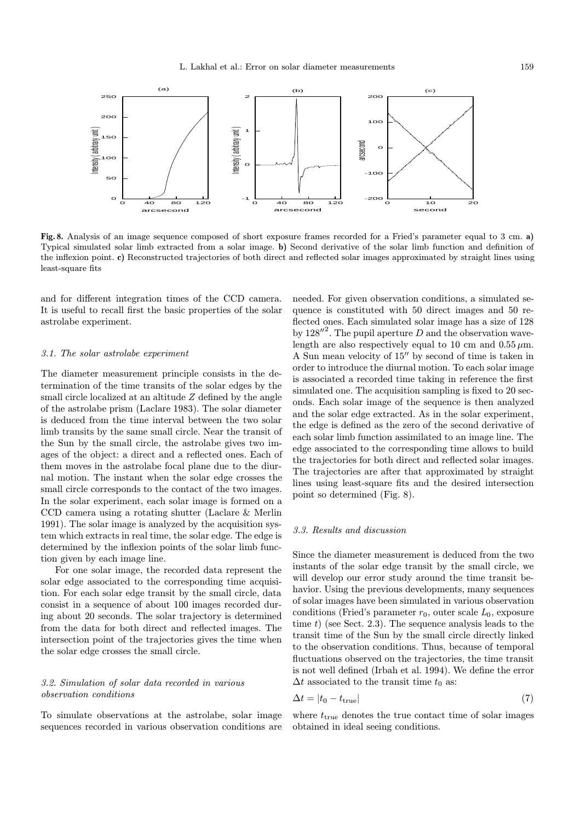

Fig. 8. Analysis of an image sequence composed of short exposure frames recorded for a Fried's parameter equal to 3 cm. a) Typical simulated solar limb extracted from a solar image. b) Second derivative of the solar limb function and definition of the inflexion point. c) Reconstructed trajectories of both direct and reflected solar images approximated by straight lines using least-square fits

and for different integration times of the CCD camera. It is useful to recall first the basic properties of the solar astrolabe experiment.

#### 3.1. The solar astrolabe experiment

The diameter measurement principle consists in the determination of the time transits of the solar edges by the small circle localized at an altitude Z defined by the angle of the astrolabe prism (Laclare 1983). The solar diameter is deduced from the time interval between the two solar limb transits by the same small circle. Near the transit of the Sun by the small circle, the astrolabe gives two images of the object: a direct and a reflected ones. Each of them moves in the astrolabe focal plane due to the diurnal motion. The instant when the solar edge crosses the small circle corresponds to the contact of the two images. In the solar experiment, each solar image is formed on a CCD camera using a rotating shutter (Laclare & Merlin 1991). The solar image is analyzed by the acquisition system which extracts in real time, the solar edge. The edge is determined by the inflexion points of the solar limb function given by each image line.

For one solar image, the recorded data represent the solar edge associated to the corresponding time acquisition. For each solar edge transit by the small circle, data consist in a sequence of about 100 images recorded during about 20 seconds. The solar trajectory is determined from the data for both direct and reflected images. The intersection point of the trajectories gives the time when the solar edge crosses the small circle.

# 3.2. Simulation of solar data recorded in various observation conditions

To simulate observations at the astrolabe, solar image sequences recorded in various observation conditions are needed. For given observation conditions, a simulated sequence is constituted with 50 direct images and 50 reflected ones. Each simulated solar image has a size of 128 by  $128''^2$ . The pupil aperture D and the observation wavelength are also respectively equal to 10 cm and  $0.55 \mu$ m. A Sun mean velocity of  $15$ <sup> $\prime\prime$ </sup> by second of time is taken in order to introduce the diurnal motion. To each solar image is associated a recorded time taking in reference the first simulated one. The acquisition sampling is fixed to 20 seconds. Each solar image of the sequence is then analyzed and the solar edge extracted. As in the solar experiment, the edge is defined as the zero of the second derivative of each solar limb function assimilated to an image line. The edge associated to the corresponding time allows to build the trajectories for both direct and reflected solar images. The trajectories are after that approximated by straight lines using least-square fits and the desired intersection point so determined (Fig. 8).

## 3.3. Results and discussion

Since the diameter measurement is deduced from the two instants of the solar edge transit by the small circle, we will develop our error study around the time transit behavior. Using the previous developments, many sequences of solar images have been simulated in various observation conditions (Fried's parameter  $r_0$ , outer scale  $L_0$ , exposure time  $t$ ) (see Sect. 2.3). The sequence analysis leads to the transit time of the Sun by the small circle directly linked to the observation conditions. Thus, because of temporal fluctuations observed on the trajectories, the time transit is not well defined (Irbah et al. 1994). We define the error  $\Delta t$  associated to the transit time  $t_0$  as:

$$
\Delta t = |t_0 - t_{\text{true}}| \tag{7}
$$

where  $t_{\text{true}}$  denotes the true contact time of solar images obtained in ideal seeing conditions.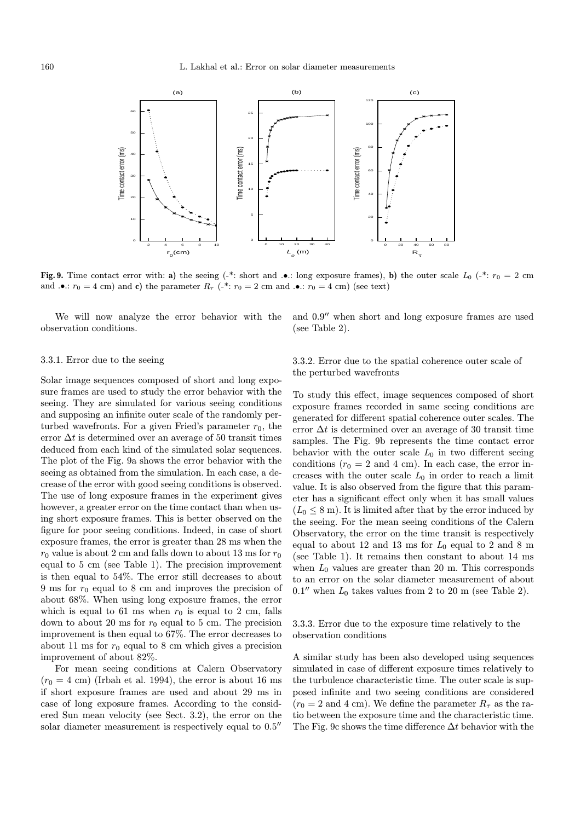

Fig. 9. Time contact error with: a) the seeing (-\*: short and .•.: long exposure frames), b) the outer scale  $L_0$  (-\*:  $r_0 = 2$  cm and  $\cdot \bullet$ :  $r_0 = 4$  cm) and c) the parameter  $R_\tau$  ( $\cdot^*$ :  $r_0 = 2$  cm and  $\cdot \bullet$ :  $r_0 = 4$  cm) (see text)

We will now analyze the error behavior with the observation conditions.

and  $0.9$ <sup>"</sup> when short and long exposure frames are used (see Table 2).

## 3.3.1. Error due to the seeing

Solar image sequences composed of short and long exposure frames are used to study the error behavior with the seeing. They are simulated for various seeing conditions and supposing an infinite outer scale of the randomly perturbed wavefronts. For a given Fried's parameter  $r_0$ , the error  $\Delta t$  is determined over an average of 50 transit times deduced from each kind of the simulated solar sequences. The plot of the Fig. 9a shows the error behavior with the seeing as obtained from the simulation. In each case, a decrease of the error with good seeing conditions is observed. The use of long exposure frames in the experiment gives however, a greater error on the time contact than when using short exposure frames. This is better observed on the figure for poor seeing conditions. Indeed, in case of short exposure frames, the error is greater than 28 ms when the  $r_0$  value is about 2 cm and falls down to about 13 ms for  $r_0$ equal to 5 cm (see Table 1). The precision improvement is then equal to 54%. The error still decreases to about 9 ms for  $r_0$  equal to 8 cm and improves the precision of about 68%. When using long exposure frames, the error which is equal to 61 ms when  $r_0$  is equal to 2 cm, falls down to about 20 ms for  $r_0$  equal to 5 cm. The precision improvement is then equal to 67%. The error decreases to about 11 ms for  $r_0$  equal to 8 cm which gives a precision improvement of about 82%.

For mean seeing conditions at Calern Observatory  $(r_0 = 4 \text{ cm})$  (Irbah et al. 1994), the error is about 16 ms if short exposure frames are used and about 29 ms in case of long exposure frames. According to the considered Sun mean velocity (see Sect. 3.2), the error on the solar diameter measurement is respectively equal to  $0.5$ <sup> $\prime\prime$ </sup>

3.3.2. Error due to the spatial coherence outer scale of the perturbed wavefronts

To study this effect, image sequences composed of short exposure frames recorded in same seeing conditions are generated for different spatial coherence outer scales. The error  $\Delta t$  is determined over an average of 30 transit time samples. The Fig. 9b represents the time contact error behavior with the outer scale  $L_0$  in two different seeing conditions  $(r_0 = 2 \text{ and } 4 \text{ cm})$ . In each case, the error increases with the outer scale  $L_0$  in order to reach a limit value. It is also observed from the figure that this parameter has a significant effect only when it has small values  $(L_0 \leq 8 \,\mathrm{m})$ . It is limited after that by the error induced by the seeing. For the mean seeing conditions of the Calern Observatory, the error on the time transit is respectively equal to about 12 and 13 ms for  $L_0$  equal to 2 and 8 m (see Table 1). It remains then constant to about 14 ms when  $L_0$  values are greater than 20 m. This corresponds to an error on the solar diameter measurement of about  $0.1''$  when  $L_0$  takes values from 2 to 20 m (see Table 2).

3.3.3. Error due to the exposure time relatively to the observation conditions

A similar study has been also developed using sequences simulated in case of different exposure times relatively to the turbulence characteristic time. The outer scale is supposed infinite and two seeing conditions are considered  $(r_0 = 2 \text{ and } 4 \text{ cm})$ . We define the parameter  $R_\tau$  as the ratio between the exposure time and the characteristic time. The Fig. 9c shows the time difference  $\Delta t$  behavior with the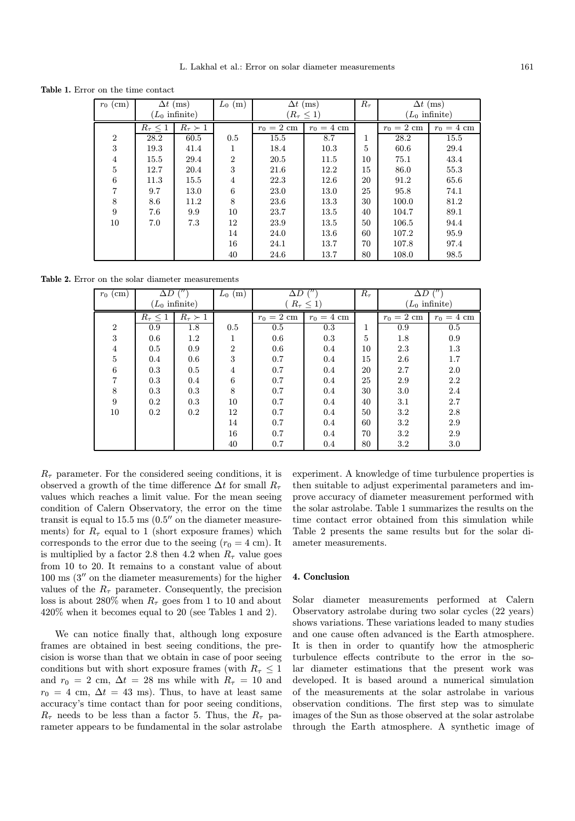Table 1. Error on the time contact

| $r_0$ (cm)     | $\Delta t$ (ms)          |                    | $L_0$ (m)      | $\Delta t$ (ms)   |              | $R_{\tau}$ | $\Delta t$ (ms)          |              |
|----------------|--------------------------|--------------------|----------------|-------------------|--------------|------------|--------------------------|--------------|
|                | $(L_0 \text{ infinite})$ |                    |                | $(R_\tau \leq 1)$ |              |            | $(L_0 \text{ infinite})$ |              |
|                | $R_{\tau} \leq 1$        | $R_{\tau} \succ 1$ |                | $r_0 = 2$ cm      | $r_0 = 4$ cm |            | $r_0 = 2$ cm             | $r_0 = 4$ cm |
| $\overline{2}$ | 28.2                     | 60.5               | 0.5            | 15.5              | 8.7          | 1          | 28.2                     | 15.5         |
| 3              | 19.3                     | 41.4               | $\mathbf{I}$   | 18.4              | 10.3         | 5          | 60.6                     | 29.4         |
| $\overline{4}$ | 15.5                     | 29.4               | $\overline{2}$ | 20.5              | 11.5         | 10         | 75.1                     | 43.4         |
| $\overline{5}$ | 12.7                     | 20.4               | 3              | 21.6              | 12.2         | 15         | 86.0                     | 55.3         |
| 6              | 11.3                     | 15.5               | 4              | 22.3              | 12.6         | 20         | 91.2                     | 65.6         |
| $\overline{7}$ | 9.7                      | 13.0               | 6              | 23.0              | 13.0         | 25         | 95.8                     | 74.1         |
| 8              | 8.6                      | 11.2               | 8              | 23.6              | 13.3         | 30         | 100.0                    | 81.2         |
| 9              | 7.6                      | 9.9                | 10             | 23.7              | 13.5         | 40         | 104.7                    | 89.1         |
| 10             | 7.0                      | 7.3                | 12             | 23.9              | 13.5         | 50         | 106.5                    | 94.4         |
|                |                          |                    | 14             | 24.0              | 13.6         | 60         | 107.2                    | 95.9         |
|                |                          |                    | 16             | 24.1              | 13.7         | 70         | 107.8                    | 97.4         |
|                |                          |                    | 40             | 24.6              | 13.7         | 80         | 108.0                    | 98.5         |

Table 2. Error on the solar diameter measurements

| $r_0$ (cm)      | $\Delta D$ ("            |                    | $L_0$ (m)      | $\Delta D$        |              | $R_{\tau}$ | $\Delta D$      |              |
|-----------------|--------------------------|--------------------|----------------|-------------------|--------------|------------|-----------------|--------------|
|                 | $(L_0 \text{ infinite})$ |                    |                | $R_{\tau} \leq 1$ |              |            | $L_0$ infinite) |              |
|                 | $R_{\tau} \leq 1$        | $R_{\tau} \succ 1$ |                | $r_0=2$ cm        | $r_0 = 4$ cm |            | $r_0=2$ cm      | $r_0 = 4$ cm |
| $\overline{2}$  | 0.9                      | 1.8                | 0.5            | 0.5               | 0.3          | 1          | 0.9             | $0.5\,$      |
| $\sqrt{3}$      | 0.6                      | $1.2\,$            | 1              | 0.6               | 0.3          | 5          | 1.8             | 0.9          |
| $\overline{4}$  | 0.5                      | 0.9                | $\overline{2}$ | 0.6               | 0.4          | 10         | 2.3             | 1.3          |
| $\overline{5}$  | 0.4                      | 0.6                | 3              | 0.7               | 0.4          | 15         | 2.6             | 1.7          |
| $6\phantom{.}6$ | 0.3                      | 0.5                | 4              | 0.7               | 0.4          | 20         | 2.7             | 2.0          |
| $\overline{7}$  | 0.3                      | 0.4                | 6              | 0.7               | 0.4          | 25         | 2.9             | 2.2          |
| 8               | 0.3                      | 0.3                | 8              | 0.7               | 0.4          | 30         | 3.0             | 2.4          |
| 9               | 0.2                      | 0.3                | 10             | 0.7               | 0.4          | 40         | 3.1             | 2.7          |
| 10              | 0.2                      | 0.2                | 12             | 0.7               | 0.4          | 50         | 3.2             | 2.8          |
|                 |                          |                    | 14             | 0.7               | 0.4          | 60         | 3.2             | 2.9          |
|                 |                          |                    | 16             | 0.7               | 0.4          | 70         | 3.2             | 2.9          |
|                 |                          |                    | 40             | 0.7               | 0.4          | 80         | 3.2             | 3.0          |

 $R_{\tau}$  parameter. For the considered seeing conditions, it is observed a growth of the time difference  $\Delta t$  for small  $R_{\tau}$ values which reaches a limit value. For the mean seeing condition of Calern Observatory, the error on the time transit is equal to  $15.5 \text{ ms } (0.5^{\prime\prime} \text{ on the diameter measure-})$ ments) for  $R_{\tau}$  equal to 1 (short exposure frames) which corresponds to the error due to the seeing  $(r_0 = 4 \text{ cm})$ . It is multiplied by a factor 2.8 then 4.2 when  $R_{\tau}$  value goes from 10 to 20. It remains to a constant value of about  $100 \text{ ms } (3'' \text{ on the diameter measurements})$  for the higher values of the  $R_{\tau}$  parameter. Consequently, the precision loss is about 280% when  $R_{\tau}$  goes from 1 to 10 and about 420% when it becomes equal to 20 (see Tables 1 and 2).

We can notice finally that, although long exposure frames are obtained in best seeing conditions, the precision is worse than that we obtain in case of poor seeing conditions but with short exposure frames (with  $R_{\tau} \leq 1$ and  $r_0 = 2$  cm,  $\Delta t = 28$  ms while with  $R<sub>\tau</sub> = 10$  and  $r_0 = 4$  cm,  $\Delta t = 43$  ms). Thus, to have at least same accuracy's time contact than for poor seeing conditions,  $R_{\tau}$  needs to be less than a factor 5. Thus, the  $R_{\tau}$  parameter appears to be fundamental in the solar astrolabe experiment. A knowledge of time turbulence properties is then suitable to adjust experimental parameters and improve accuracy of diameter measurement performed with the solar astrolabe. Table 1 summarizes the results on the time contact error obtained from this simulation while Table 2 presents the same results but for the solar diameter measurements.

#### 4. Conclusion

Solar diameter measurements performed at Calern Observatory astrolabe during two solar cycles (22 years) shows variations. These variations leaded to many studies and one cause often advanced is the Earth atmosphere. It is then in order to quantify how the atmospheric turbulence effects contribute to the error in the solar diameter estimations that the present work was developed. It is based around a numerical simulation of the measurements at the solar astrolabe in various observation conditions. The first step was to simulate images of the Sun as those observed at the solar astrolabe through the Earth atmosphere. A synthetic image of